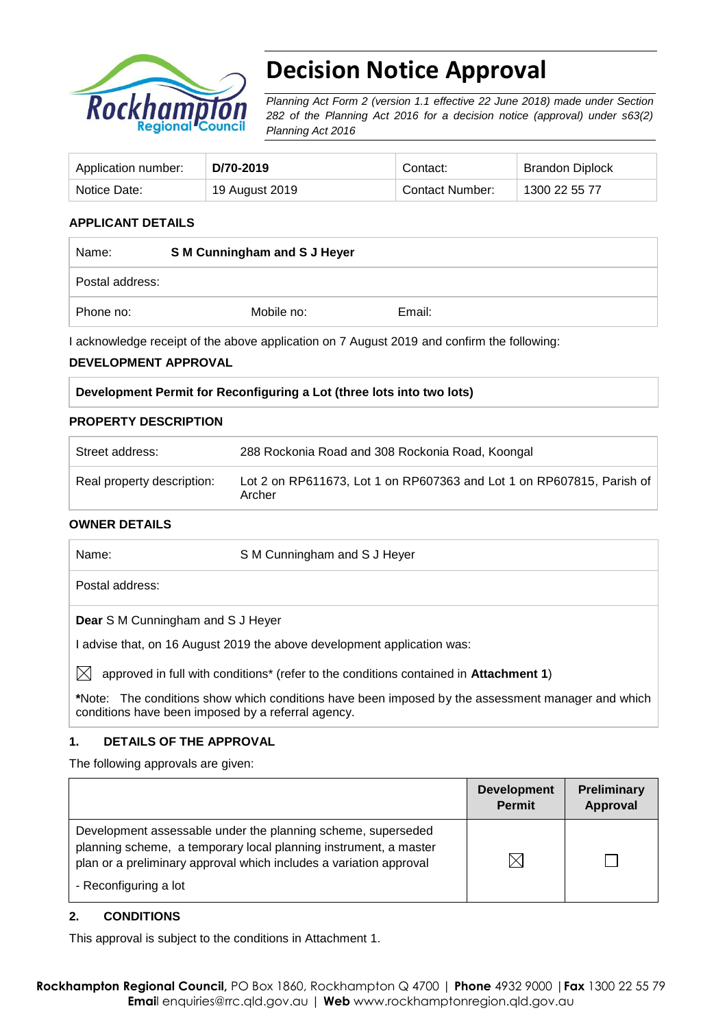

# **Decision Notice Approval**

*Planning Act Form 2 (version 1.1 effective 22 June 2018) made under Section 282 of the Planning Act 2016 for a decision notice (approval) under s63(2) Planning Act 2016*

| Application number: | D/70-2019      | Contact:        | <b>Brandon Diplock</b> |
|---------------------|----------------|-----------------|------------------------|
| Notice Date:        | 19 August 2019 | Contact Number: | 1300 22 55 77          |

### **APPLICANT DETAILS**

| Name:           | S M Cunningham and S J Heyer |        |  |
|-----------------|------------------------------|--------|--|
| Postal address: |                              |        |  |
| Phone no:       | Mobile no:                   | Email: |  |

I acknowledge receipt of the above application on 7 August 2019 and confirm the following:

#### **DEVELOPMENT APPROVAL**

#### **Development Permit for Reconfiguring a Lot (three lots into two lots)**

#### **PROPERTY DESCRIPTION**

| Street address:            | 288 Rockonia Road and 308 Rockonia Road, Koongal                                |  |
|----------------------------|---------------------------------------------------------------------------------|--|
| Real property description: | Lot 2 on RP611673, Lot 1 on RP607363 and Lot 1 on RP607815, Parish of<br>Archer |  |

#### **OWNER DETAILS**

| Name: | S M Cunningham and S J Heyer                                                                      |
|-------|---------------------------------------------------------------------------------------------------|
|       | Postal address:                                                                                   |
|       | <b>Dear</b> S M Cunningham and S J Heyer                                                          |
|       | l advise that, on 16 August 2019 the above development application was:                           |
| IХI   | approved in full with conditions* (refer to the conditions contained in Attachment 1)             |
|       | *Note: The conditions show which conditions have been imposed by the assessment manager and which |

**\***Note:The conditions show which conditions have been imposed by the assessment manager and which conditions have been imposed by a referral agency.

#### **1. DETAILS OF THE APPROVAL**

The following approvals are given:

|                                                                                                                                                                                                                                 | <b>Development</b><br><b>Permit</b> | <b>Preliminary</b><br><b>Approval</b> |
|---------------------------------------------------------------------------------------------------------------------------------------------------------------------------------------------------------------------------------|-------------------------------------|---------------------------------------|
| Development assessable under the planning scheme, superseded<br>planning scheme, a temporary local planning instrument, a master<br>plan or a preliminary approval which includes a variation approval<br>- Reconfiguring a lot |                                     |                                       |

#### **2. CONDITIONS**

This approval is subject to the conditions in Attachment 1.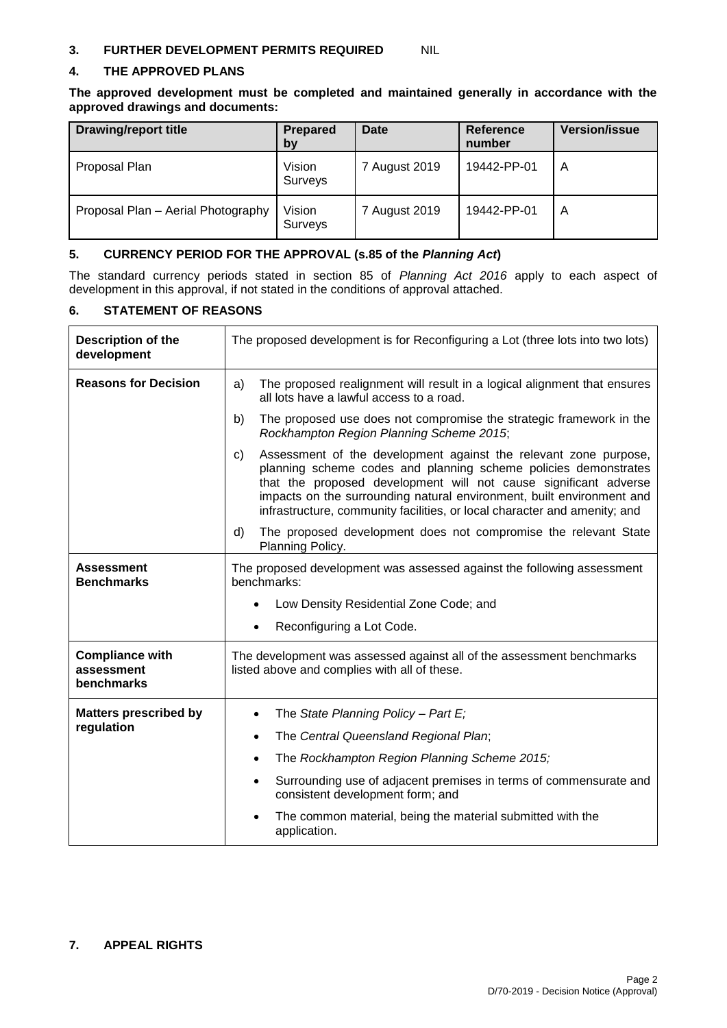#### **3. FURTHER DEVELOPMENT PERMITS REQUIRED** NIL

#### **4. THE APPROVED PLANS**

**The approved development must be completed and maintained generally in accordance with the approved drawings and documents:**

| <b>Drawing/report title</b>        | Prepared<br>by    | <b>Date</b>   | <b>Reference</b><br>number | <b>Version/issue</b> |
|------------------------------------|-------------------|---------------|----------------------------|----------------------|
| Proposal Plan                      | Vision<br>Surveys | 7 August 2019 | 19442-PP-01                | A                    |
| Proposal Plan - Aerial Photography | Vision<br>Surveys | 7 August 2019 | 19442-PP-01                | A                    |

#### **5. CURRENCY PERIOD FOR THE APPROVAL (s.85 of the** *Planning Act***)**

The standard currency periods stated in section 85 of *Planning Act 2016* apply to each aspect of development in this approval, if not stated in the conditions of approval attached.

#### **6. STATEMENT OF REASONS**

| <b>Description of the</b><br>development           | The proposed development is for Reconfiguring a Lot (three lots into two lots)                                                                                                                                                                                                                                                                                      |  |  |
|----------------------------------------------------|---------------------------------------------------------------------------------------------------------------------------------------------------------------------------------------------------------------------------------------------------------------------------------------------------------------------------------------------------------------------|--|--|
| <b>Reasons for Decision</b>                        | The proposed realignment will result in a logical alignment that ensures<br>a)<br>all lots have a lawful access to a road.                                                                                                                                                                                                                                          |  |  |
|                                                    | b)<br>The proposed use does not compromise the strategic framework in the<br>Rockhampton Region Planning Scheme 2015;                                                                                                                                                                                                                                               |  |  |
|                                                    | Assessment of the development against the relevant zone purpose,<br>C)<br>planning scheme codes and planning scheme policies demonstrates<br>that the proposed development will not cause significant adverse<br>impacts on the surrounding natural environment, built environment and<br>infrastructure, community facilities, or local character and amenity; and |  |  |
|                                                    | The proposed development does not compromise the relevant State<br>d)<br>Planning Policy.                                                                                                                                                                                                                                                                           |  |  |
| <b>Assessment</b><br><b>Benchmarks</b>             | The proposed development was assessed against the following assessment<br>benchmarks:                                                                                                                                                                                                                                                                               |  |  |
|                                                    | Low Density Residential Zone Code; and<br>$\bullet$                                                                                                                                                                                                                                                                                                                 |  |  |
|                                                    | Reconfiguring a Lot Code.<br>$\bullet$                                                                                                                                                                                                                                                                                                                              |  |  |
| <b>Compliance with</b><br>assessment<br>benchmarks | The development was assessed against all of the assessment benchmarks<br>listed above and complies with all of these.                                                                                                                                                                                                                                               |  |  |
| <b>Matters prescribed by</b>                       | The State Planning Policy - Part E;                                                                                                                                                                                                                                                                                                                                 |  |  |
| regulation                                         | The Central Queensland Regional Plan;<br>$\bullet$                                                                                                                                                                                                                                                                                                                  |  |  |
|                                                    | The Rockhampton Region Planning Scheme 2015;                                                                                                                                                                                                                                                                                                                        |  |  |
|                                                    | Surrounding use of adjacent premises in terms of commensurate and<br>$\bullet$<br>consistent development form; and                                                                                                                                                                                                                                                  |  |  |
|                                                    | The common material, being the material submitted with the<br>application.                                                                                                                                                                                                                                                                                          |  |  |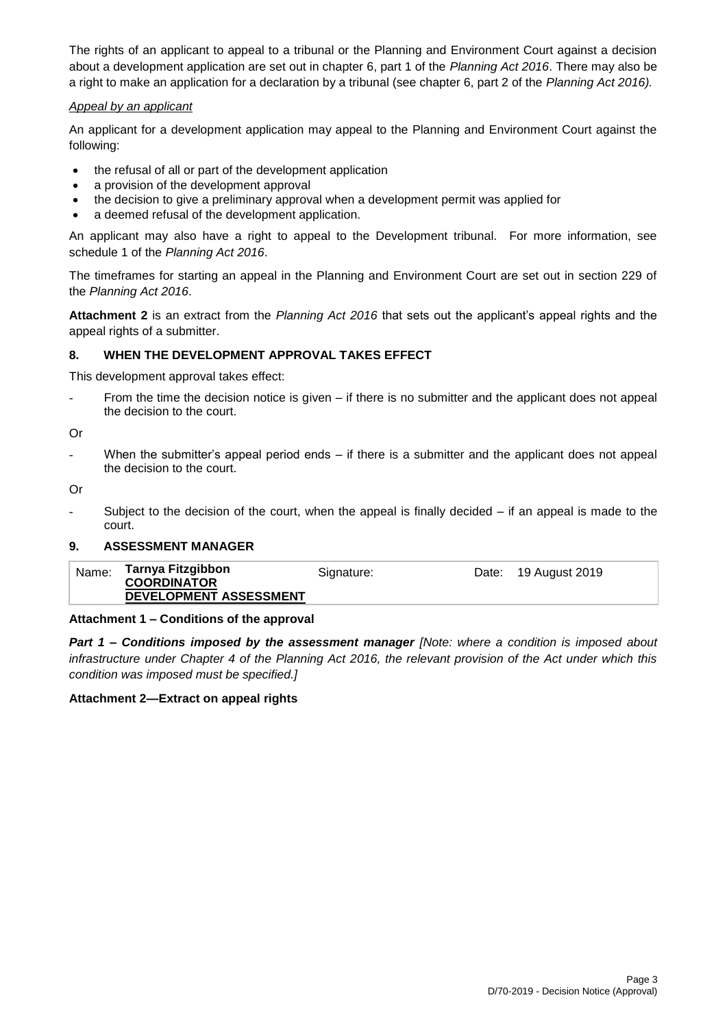The rights of an applicant to appeal to a tribunal or the Planning and Environment Court against a decision about a development application are set out in chapter 6, part 1 of the *Planning Act 2016*. There may also be a right to make an application for a declaration by a tribunal (see chapter 6, part 2 of the *Planning Act 2016).*

#### *Appeal by an applicant*

An applicant for a development application may appeal to the Planning and Environment Court against the following:

- the refusal of all or part of the development application
- a provision of the development approval
- the decision to give a preliminary approval when a development permit was applied for
- a deemed refusal of the development application.

An applicant may also have a right to appeal to the Development tribunal. For more information, see schedule 1 of the *Planning Act 2016*.

The timeframes for starting an appeal in the Planning and Environment Court are set out in section 229 of the *Planning Act 2016*.

**Attachment 2** is an extract from the *Planning Act 2016* that sets out the applicant's appeal rights and the appeal rights of a submitter.

### **8. WHEN THE DEVELOPMENT APPROVAL TAKES EFFECT**

This development approval takes effect:

From the time the decision notice is given – if there is no submitter and the applicant does not appeal the decision to the court.

Or

When the submitter's appeal period ends  $-$  if there is a submitter and the applicant does not appeal the decision to the court.

Or

Subject to the decision of the court, when the appeal is finally decided  $-$  if an appeal is made to the court.

#### **9. ASSESSMENT MANAGER**

| Tarnya Fitzgibbon<br>Name:<br>Date: 19 August 2019<br>Signature:<br><b>COORDINATOR</b><br>DEVELOPMENT ASSESSMENT |  |
|------------------------------------------------------------------------------------------------------------------|--|
|------------------------------------------------------------------------------------------------------------------|--|

#### **Attachment 1 – Conditions of the approval**

*Part 1* **–** *Conditions imposed by the assessment manager [Note: where a condition is imposed about infrastructure under Chapter 4 of the Planning Act 2016, the relevant provision of the Act under which this condition was imposed must be specified.]*

#### **Attachment 2—Extract on appeal rights**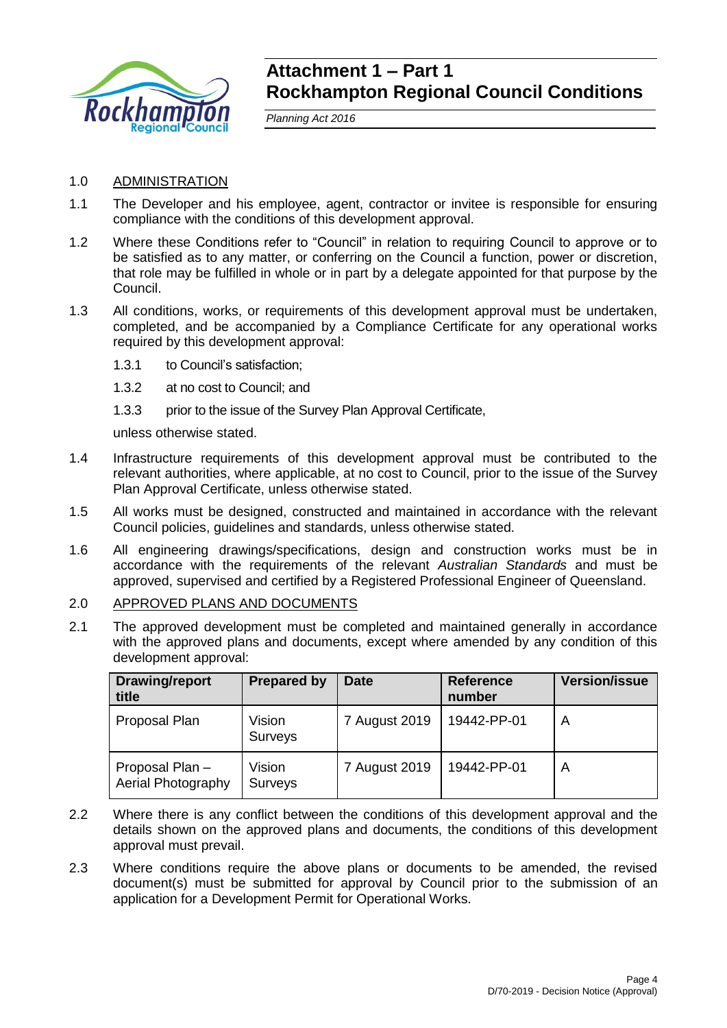

## **Attachment 1 – Part 1 Rockhampton Regional Council Conditions**

*Planning Act 2016*

### 1.0 ADMINISTRATION

- 1.1 The Developer and his employee, agent, contractor or invitee is responsible for ensuring compliance with the conditions of this development approval.
- 1.2 Where these Conditions refer to "Council" in relation to requiring Council to approve or to be satisfied as to any matter, or conferring on the Council a function, power or discretion, that role may be fulfilled in whole or in part by a delegate appointed for that purpose by the Council.
- 1.3 All conditions, works, or requirements of this development approval must be undertaken, completed, and be accompanied by a Compliance Certificate for any operational works required by this development approval:
	- 1.3.1 to Council's satisfaction;
	- 1.3.2 at no cost to Council; and
	- 1.3.3 prior to the issue of the Survey Plan Approval Certificate,

unless otherwise stated.

- 1.4 Infrastructure requirements of this development approval must be contributed to the relevant authorities, where applicable, at no cost to Council, prior to the issue of the Survey Plan Approval Certificate, unless otherwise stated.
- 1.5 All works must be designed, constructed and maintained in accordance with the relevant Council policies, guidelines and standards, unless otherwise stated.
- 1.6 All engineering drawings/specifications, design and construction works must be in accordance with the requirements of the relevant *Australian Standards* and must be approved, supervised and certified by a Registered Professional Engineer of Queensland.
- 2.0 APPROVED PLANS AND DOCUMENTS
- 2.1 The approved development must be completed and maintained generally in accordance with the approved plans and documents, except where amended by any condition of this development approval:

| Drawing/report<br>title              | <b>Prepared by</b> | <b>Date</b>   | <b>Reference</b><br>number | <b>Version/issue</b> |
|--------------------------------------|--------------------|---------------|----------------------------|----------------------|
| Proposal Plan                        | Vision<br>Surveys  | 7 August 2019 | 19442-PP-01                | A                    |
| Proposal Plan-<br>Aerial Photography | Vision<br>Surveys  | 7 August 2019 | 19442-PP-01                | A                    |

- 2.2 Where there is any conflict between the conditions of this development approval and the details shown on the approved plans and documents, the conditions of this development approval must prevail.
- 2.3 Where conditions require the above plans or documents to be amended, the revised document(s) must be submitted for approval by Council prior to the submission of an application for a Development Permit for Operational Works.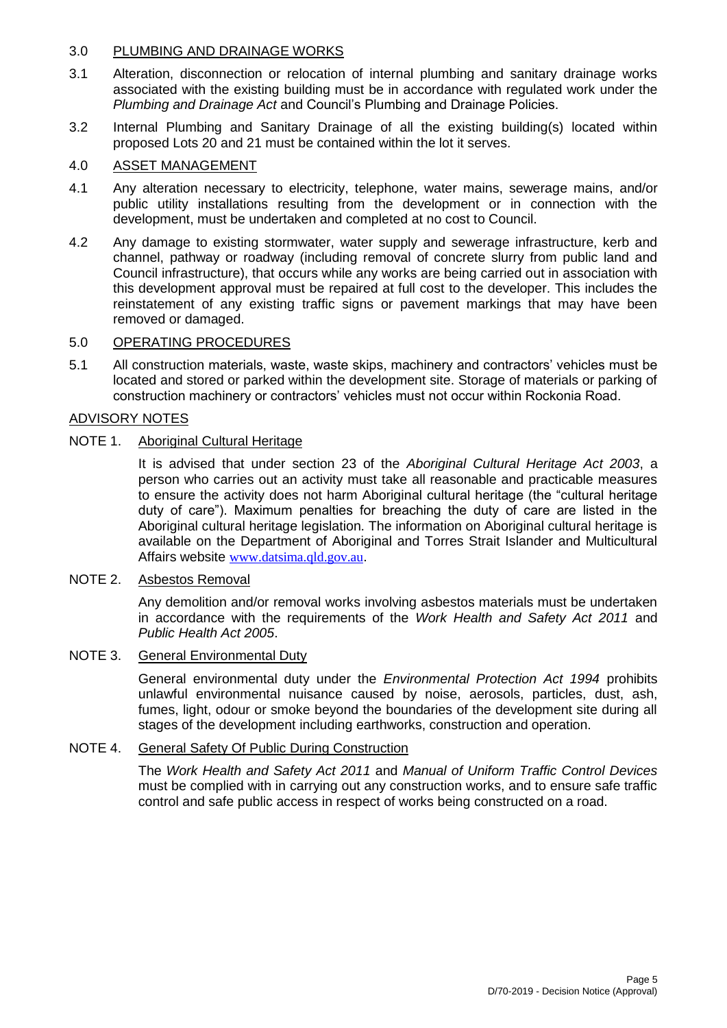### 3.0 PLUMBING AND DRAINAGE WORKS

- 3.1 Alteration, disconnection or relocation of internal plumbing and sanitary drainage works associated with the existing building must be in accordance with regulated work under the *Plumbing and Drainage Act* and Council's Plumbing and Drainage Policies.
- 3.2 Internal Plumbing and Sanitary Drainage of all the existing building(s) located within proposed Lots 20 and 21 must be contained within the lot it serves.

### 4.0 ASSET MANAGEMENT

- 4.1 Any alteration necessary to electricity, telephone, water mains, sewerage mains, and/or public utility installations resulting from the development or in connection with the development, must be undertaken and completed at no cost to Council.
- 4.2 Any damage to existing stormwater, water supply and sewerage infrastructure, kerb and channel, pathway or roadway (including removal of concrete slurry from public land and Council infrastructure), that occurs while any works are being carried out in association with this development approval must be repaired at full cost to the developer. This includes the reinstatement of any existing traffic signs or pavement markings that may have been removed or damaged.

### 5.0 OPERATING PROCEDURES

5.1 All construction materials, waste, waste skips, machinery and contractors' vehicles must be located and stored or parked within the development site. Storage of materials or parking of construction machinery or contractors' vehicles must not occur within Rockonia Road.

### ADVISORY NOTES

### NOTE 1. Aboriginal Cultural Heritage

It is advised that under section 23 of the *Aboriginal Cultural Heritage Act 2003*, a person who carries out an activity must take all reasonable and practicable measures to ensure the activity does not harm Aboriginal cultural heritage (the "cultural heritage duty of care"). Maximum penalties for breaching the duty of care are listed in the Aboriginal cultural heritage legislation. The information on Aboriginal cultural heritage is available on the Department of Aboriginal and Torres Strait Islander and Multicultural Affairs website [www.datsima.qld.gov.au](http://www.datsima.qld.gov.au/).

#### NOTE 2. Asbestos Removal

Any demolition and/or removal works involving asbestos materials must be undertaken in accordance with the requirements of the *Work Health and Safety Act 2011* and *Public Health Act 2005*.

#### NOTE 3. General Environmental Duty

General environmental duty under the *Environmental Protection Act 1994* prohibits unlawful environmental nuisance caused by noise, aerosols, particles, dust, ash, fumes, light, odour or smoke beyond the boundaries of the development site during all stages of the development including earthworks, construction and operation.

#### NOTE 4. General Safety Of Public During Construction

The *Work Health and Safety Act 2011* and *Manual of Uniform Traffic Control Devices* must be complied with in carrying out any construction works, and to ensure safe traffic control and safe public access in respect of works being constructed on a road.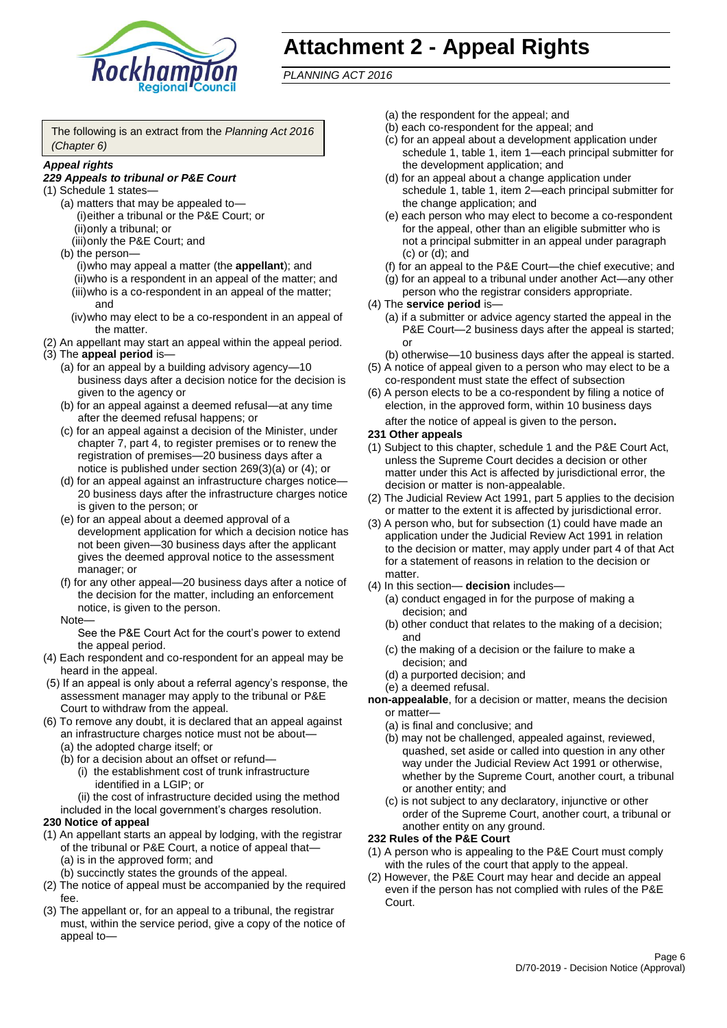

## **Attachment 2 - Appeal Rights**

*PLANNING ACT 2016*

The following is an extract from the *Planning Act 2016 (Chapter 6)*

#### *Appeal rights*

#### *229 Appeals to tribunal or P&E Court*

- (1) Schedule 1 states—
	- (a) matters that may be appealed to— (i)either a tribunal or the P&E Court; or (ii)only a tribunal; or
	- (iii)only the P&E Court; and (b) the person—
		- (i)who may appeal a matter (the **appellant**); and (ii)who is a respondent in an appeal of the matter; and (iii)who is a co-respondent in an appeal of the matter; and
		- (iv)who may elect to be a co-respondent in an appeal of the matter.
- (2) An appellant may start an appeal within the appeal period.
- (3) The **appeal period** is—
	- (a) for an appeal by a building advisory agency—10 business days after a decision notice for the decision is given to the agency or
	- (b) for an appeal against a deemed refusal—at any time after the deemed refusal happens; or
	- (c) for an appeal against a decision of the Minister, under chapter 7, part 4, to register premises or to renew the registration of premises—20 business days after a notice is published under section 269(3)(a) or (4); or
	- (d) for an appeal against an infrastructure charges notice— 20 business days after the infrastructure charges notice is given to the person; or
	- (e) for an appeal about a deemed approval of a development application for which a decision notice has not been given—30 business days after the applicant gives the deemed approval notice to the assessment manager; or
	- (f) for any other appeal—20 business days after a notice of the decision for the matter, including an enforcement notice, is given to the person.

#### Note—

See the P&E Court Act for the court's power to extend the appeal period.

- (4) Each respondent and co-respondent for an appeal may be heard in the appeal.
- (5) If an appeal is only about a referral agency's response, the assessment manager may apply to the tribunal or P&E Court to withdraw from the appeal.
- (6) To remove any doubt, it is declared that an appeal against an infrastructure charges notice must not be about—
	- (a) the adopted charge itself; or
	- (b) for a decision about an offset or refund—
		- (i) the establishment cost of trunk infrastructure identified in a LGIP; or
		- (ii) the cost of infrastructure decided using the method
	- included in the local government's charges resolution.

## **230 Notice of appeal**

- (1) An appellant starts an appeal by lodging, with the registrar of the tribunal or P&E Court, a notice of appeal that—
	- (a) is in the approved form; and
	- (b) succinctly states the grounds of the appeal.
- (2) The notice of appeal must be accompanied by the required fee.
- (3) The appellant or, for an appeal to a tribunal, the registrar must, within the service period, give a copy of the notice of appeal to—
- (a) the respondent for the appeal; and
- (b) each co-respondent for the appeal; and
- (c) for an appeal about a development application under schedule 1, table 1, item 1—each principal submitter for the development application; and
- (d) for an appeal about a change application under schedule 1, table 1, item 2—each principal submitter for the change application; and
- (e) each person who may elect to become a co-respondent for the appeal, other than an eligible submitter who is not a principal submitter in an appeal under paragraph (c) or (d); and
- (f) for an appeal to the P&E Court—the chief executive; and
- (g) for an appeal to a tribunal under another Act—any other person who the registrar considers appropriate.
- (4) The **service period** is—
	- (a) if a submitter or advice agency started the appeal in the P&E Court—2 business days after the appeal is started; or
	- (b) otherwise—10 business days after the appeal is started.
- (5) A notice of appeal given to a person who may elect to be a co-respondent must state the effect of subsection
- (6) A person elects to be a co-respondent by filing a notice of election, in the approved form, within 10 business days after the notice of appeal is given to the person*.*
- **231 Other appeals**
- (1) Subject to this chapter, schedule 1 and the P&E Court Act, unless the Supreme Court decides a decision or other matter under this Act is affected by jurisdictional error, the decision or matter is non-appealable.
- (2) The Judicial Review Act 1991, part 5 applies to the decision or matter to the extent it is affected by jurisdictional error.
- (3) A person who, but for subsection (1) could have made an application under the Judicial Review Act 1991 in relation to the decision or matter, may apply under part 4 of that Act for a statement of reasons in relation to the decision or matter.
- (4) In this section— **decision** includes—
	- (a) conduct engaged in for the purpose of making a decision; and
	- (b) other conduct that relates to the making of a decision; and
	- (c) the making of a decision or the failure to make a decision; and
	- (d) a purported decision; and
	- (e) a deemed refusal.

**non-appealable**, for a decision or matter, means the decision or matter—

- (a) is final and conclusive; and
- (b) may not be challenged, appealed against, reviewed, quashed, set aside or called into question in any other way under the Judicial Review Act 1991 or otherwise, whether by the Supreme Court, another court, a tribunal or another entity; and
- (c) is not subject to any declaratory, injunctive or other order of the Supreme Court, another court, a tribunal or another entity on any ground.

#### **232 Rules of the P&E Court**

- (1) A person who is appealing to the P&E Court must comply with the rules of the court that apply to the appeal.
- (2) However, the P&E Court may hear and decide an appeal even if the person has not complied with rules of the P&E Court.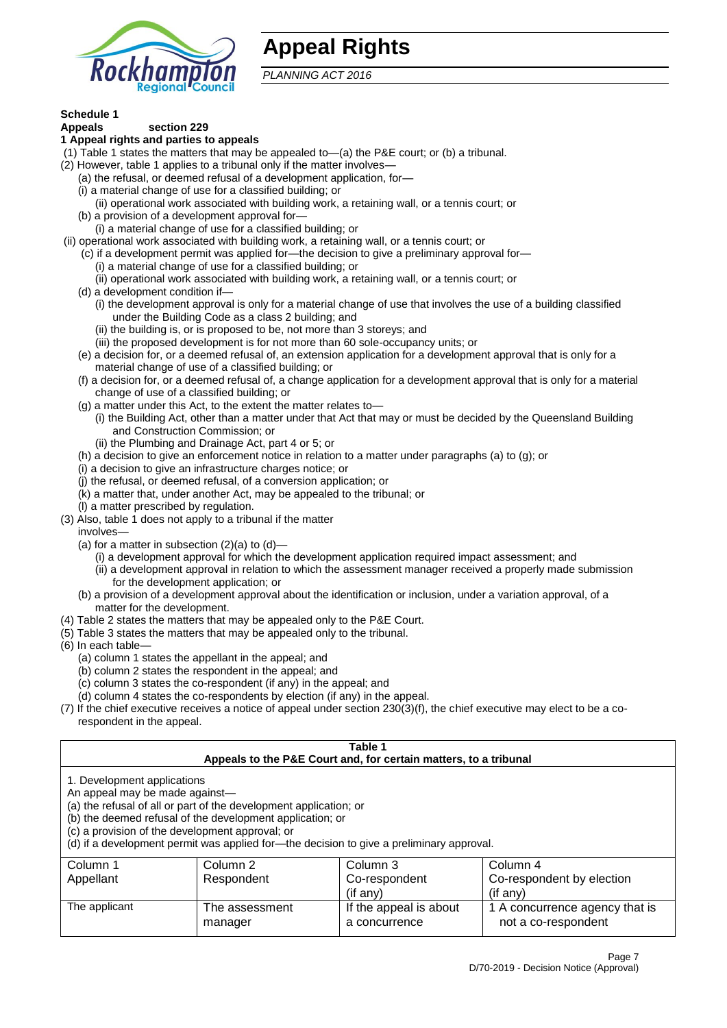

## **Appeal Rights**

*PLANNING ACT 2016*

## **Schedule 1**

#### **Appeals section 229 1 Appeal rights and parties to appeals**

- (1) Table 1 states the matters that may be appealed to—(a) the P&E court; or (b) a tribunal.
- (2) However, table 1 applies to a tribunal only if the matter involves—
	- (a) the refusal, or deemed refusal of a development application, for—
	- (i) a material change of use for a classified building; or
	- (ii) operational work associated with building work, a retaining wall, or a tennis court; or
	- (b) a provision of a development approval for—
	- (i) a material change of use for a classified building; or
- (ii) operational work associated with building work, a retaining wall, or a tennis court; or
	- (c) if a development permit was applied for—the decision to give a preliminary approval for—
		- (i) a material change of use for a classified building; or
	- (ii) operational work associated with building work, a retaining wall, or a tennis court; or
	- (d) a development condition if—
		- (i) the development approval is only for a material change of use that involves the use of a building classified under the Building Code as a class 2 building; and
		- (ii) the building is, or is proposed to be, not more than 3 storeys; and
		- (iii) the proposed development is for not more than 60 sole-occupancy units; or
	- (e) a decision for, or a deemed refusal of, an extension application for a development approval that is only for a material change of use of a classified building; or
	- (f) a decision for, or a deemed refusal of, a change application for a development approval that is only for a material change of use of a classified building; or
	- (g) a matter under this Act, to the extent the matter relates to—
		- (i) the Building Act, other than a matter under that Act that may or must be decided by the Queensland Building and Construction Commission; or
		- (ii) the Plumbing and Drainage Act, part 4 or 5; or
	- (h) a decision to give an enforcement notice in relation to a matter under paragraphs (a) to (g); or
	- (i) a decision to give an infrastructure charges notice; or
	- (j) the refusal, or deemed refusal, of a conversion application; or
	- (k) a matter that, under another Act, may be appealed to the tribunal; or
	- (l) a matter prescribed by regulation.
- (3) Also, table 1 does not apply to a tribunal if the matter

involves—

- (a) for a matter in subsection  $(2)(a)$  to  $(d)$ 
	- (i) a development approval for which the development application required impact assessment; and
	- (ii) a development approval in relation to which the assessment manager received a properly made submission for the development application; or
- (b) a provision of a development approval about the identification or inclusion, under a variation approval, of a matter for the development.
- (4) Table 2 states the matters that may be appealed only to the P&E Court.
- (5) Table 3 states the matters that may be appealed only to the tribunal.
- (6) In each table—
	- (a) column 1 states the appellant in the appeal; and
	- (b) column 2 states the respondent in the appeal; and
	- (c) column 3 states the co-respondent (if any) in the appeal; and
	- (d) column 4 states the co-respondents by election (if any) in the appeal.
- (7) If the chief executive receives a notice of appeal under section 230(3)(f), the chief executive may elect to be a corespondent in the appeal.

| Table 1<br>Appeals to the P&E Court and, for certain matters, to a tribunal                                                                                                                                                                                                                                                                    |                           |                                         |                                                       |  |  |
|------------------------------------------------------------------------------------------------------------------------------------------------------------------------------------------------------------------------------------------------------------------------------------------------------------------------------------------------|---------------------------|-----------------------------------------|-------------------------------------------------------|--|--|
| 1. Development applications<br>An appeal may be made against-<br>(a) the refusal of all or part of the development application; or<br>(b) the deemed refusal of the development application; or<br>(c) a provision of the development approval; or<br>(d) if a development permit was applied for-the decision to give a preliminary approval. |                           |                                         |                                                       |  |  |
| Column 3<br>Column 1<br>Column 2<br>Column 4<br>Co-respondent<br>Co-respondent by election<br>Appellant<br>Respondent<br>(if any)<br>$($ if any $)$                                                                                                                                                                                            |                           |                                         |                                                       |  |  |
| The applicant                                                                                                                                                                                                                                                                                                                                  | The assessment<br>manager | If the appeal is about<br>a concurrence | 1 A concurrence agency that is<br>not a co-respondent |  |  |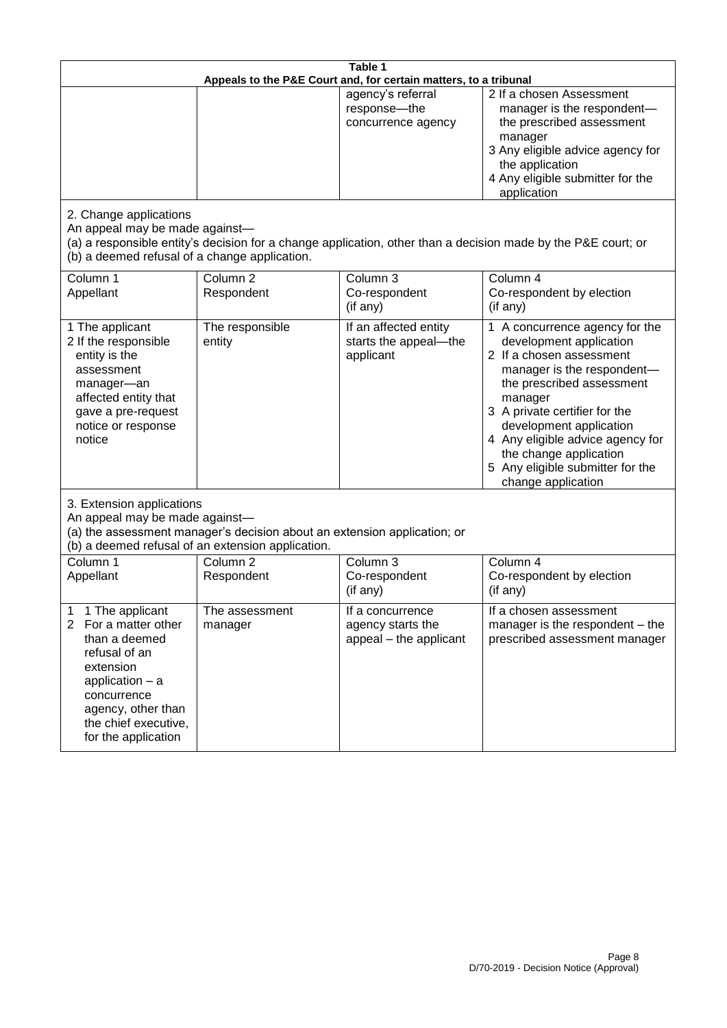| Table 1<br>Appeals to the P&E Court and, for certain matters, to a tribunal                                                                                                                                          |                                                                                                                                                                                              |                                                                 |                                                                                                                                                                                                                                                                                                                                                 |  |  |
|----------------------------------------------------------------------------------------------------------------------------------------------------------------------------------------------------------------------|----------------------------------------------------------------------------------------------------------------------------------------------------------------------------------------------|-----------------------------------------------------------------|-------------------------------------------------------------------------------------------------------------------------------------------------------------------------------------------------------------------------------------------------------------------------------------------------------------------------------------------------|--|--|
|                                                                                                                                                                                                                      |                                                                                                                                                                                              | agency's referral<br>response-the<br>concurrence agency         | 2 If a chosen Assessment<br>manager is the respondent-<br>the prescribed assessment<br>manager<br>3 Any eligible advice agency for<br>the application<br>4 Any eligible submitter for the<br>application                                                                                                                                        |  |  |
| 2. Change applications<br>An appeal may be made against-<br>(b) a deemed refusal of a change application.                                                                                                            |                                                                                                                                                                                              |                                                                 | (a) a responsible entity's decision for a change application, other than a decision made by the P&E court; or                                                                                                                                                                                                                                   |  |  |
| Column 1<br>Appellant                                                                                                                                                                                                | Column <sub>2</sub><br>Respondent                                                                                                                                                            | Column 3<br>Co-respondent<br>(if any)                           | Column 4<br>Co-respondent by election<br>(if any)                                                                                                                                                                                                                                                                                               |  |  |
| 1 The applicant<br>2 If the responsible<br>entity is the<br>assessment<br>manager-an<br>affected entity that<br>gave a pre-request<br>notice or response<br>notice                                                   | The responsible<br>entity                                                                                                                                                                    | If an affected entity<br>starts the appeal-the<br>applicant     | 1 A concurrence agency for the<br>development application<br>2 If a chosen assessment<br>manager is the respondent-<br>the prescribed assessment<br>manager<br>3 A private certifier for the<br>development application<br>4 Any eligible advice agency for<br>the change application<br>5 Any eligible submitter for the<br>change application |  |  |
|                                                                                                                                                                                                                      | 3. Extension applications<br>An appeal may be made against-<br>(a) the assessment manager's decision about an extension application; or<br>(b) a deemed refusal of an extension application. |                                                                 |                                                                                                                                                                                                                                                                                                                                                 |  |  |
| Column 1<br>Appellant                                                                                                                                                                                                | Column <sub>2</sub><br>Respondent                                                                                                                                                            | Column 3<br>Co-respondent<br>(if any)                           | Column 4<br>Co-respondent by election<br>(if any)                                                                                                                                                                                                                                                                                               |  |  |
| 1 The applicant<br>1<br>$\overline{2}$<br>For a matter other<br>than a deemed<br>refusal of an<br>extension<br>application $-$ a<br>concurrence<br>agency, other than<br>the chief executive,<br>for the application | The assessment<br>manager                                                                                                                                                                    | If a concurrence<br>agency starts the<br>appeal - the applicant | If a chosen assessment<br>manager is the respondent – the<br>prescribed assessment manager                                                                                                                                                                                                                                                      |  |  |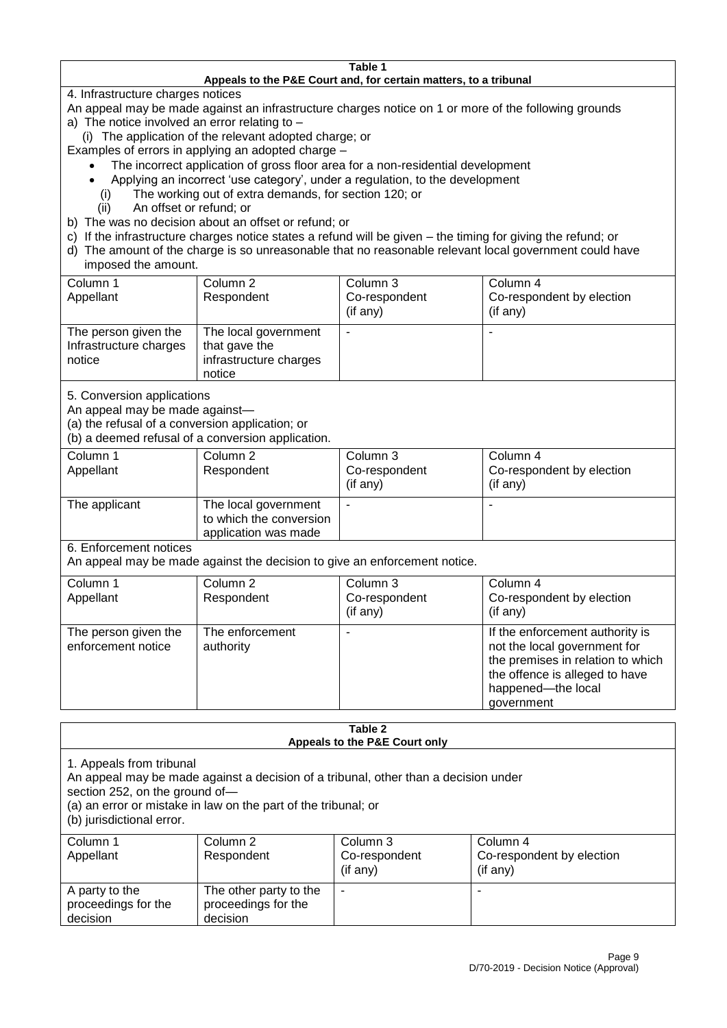#### **Table 1 Appeals to the P&E Court and, for certain matters, to a tribunal**

4. Infrastructure charges notices

- An appeal may be made against an infrastructure charges notice on 1 or more of the following grounds
- a) The notice involved an error relating to
	- (i) The application of the relevant adopted charge; or
- Examples of errors in applying an adopted charge
	- The incorrect application of gross floor area for a non-residential development
	- Applying an incorrect 'use category', under a regulation, to the development
	- (i) The working out of extra demands, for section 120; or
	- (ii) An offset or refund; or
- b) The was no decision about an offset or refund; or
- c) If the infrastructure charges notice states a refund will be given the timing for giving the refund; or
- d) The amount of the charge is so unreasonable that no reasonable relevant local government could have

## imposed the amount.

| Column 1<br>Appellant                                    | Column 2<br>Respondent                                                    | Column 3<br>Co-respondent<br>(if any) | Column 4<br>Co-respondent by election<br>(if any) |
|----------------------------------------------------------|---------------------------------------------------------------------------|---------------------------------------|---------------------------------------------------|
| The person given the<br>Infrastructure charges<br>notice | The local government<br>that gave the<br>infrastructure charges<br>notice |                                       | $\overline{\phantom{a}}$                          |

5. Conversion applications

An appeal may be made against—

(a) the refusal of a conversion application; or

(b) a deemed refusal of a conversion application.

| Column 1      | Column 2                | Column 3       | Column 4                  |
|---------------|-------------------------|----------------|---------------------------|
| Appellant     | Respondent              | Co-respondent  | Co-respondent by election |
|               |                         | $($ if any $)$ | $($ if any $)$            |
| The applicant | The local government    |                |                           |
|               | to which the conversion |                |                           |
|               | application was made    |                |                           |

6. Enforcement notices

An appeal may be made against the decision to give an enforcement notice.

| Column 1                                   | Column 2                     |               |                                                                                                                                                                            |
|--------------------------------------------|------------------------------|---------------|----------------------------------------------------------------------------------------------------------------------------------------------------------------------------|
|                                            |                              | Column 3      | Column 4                                                                                                                                                                   |
| Appellant                                  | Respondent                   | Co-respondent | Co-respondent by election                                                                                                                                                  |
|                                            |                              | (if any)      | (if any)                                                                                                                                                                   |
| The person given the<br>enforcement notice | The enforcement<br>authority |               | If the enforcement authority is<br>not the local government for<br>the premises in relation to which<br>the offence is alleged to have<br>happened-the local<br>government |

#### **Table 2 Appeals to the P&E Court only**

1. Appeals from tribunal

An appeal may be made against a decision of a tribunal, other than a decision under

section 252, on the ground of—

(a) an error or mistake in law on the part of the tribunal; or

(b) jurisdictional error.

| Column 1<br>Appellant                             | Column 2<br>Respondent                                    | Column 3<br>Co-respondent<br>$($ if any $)$ | Column 4<br>Co-respondent by election<br>(if any) |
|---------------------------------------------------|-----------------------------------------------------------|---------------------------------------------|---------------------------------------------------|
| A party to the<br>proceedings for the<br>decision | The other party to the<br>proceedings for the<br>decision | ۰                                           |                                                   |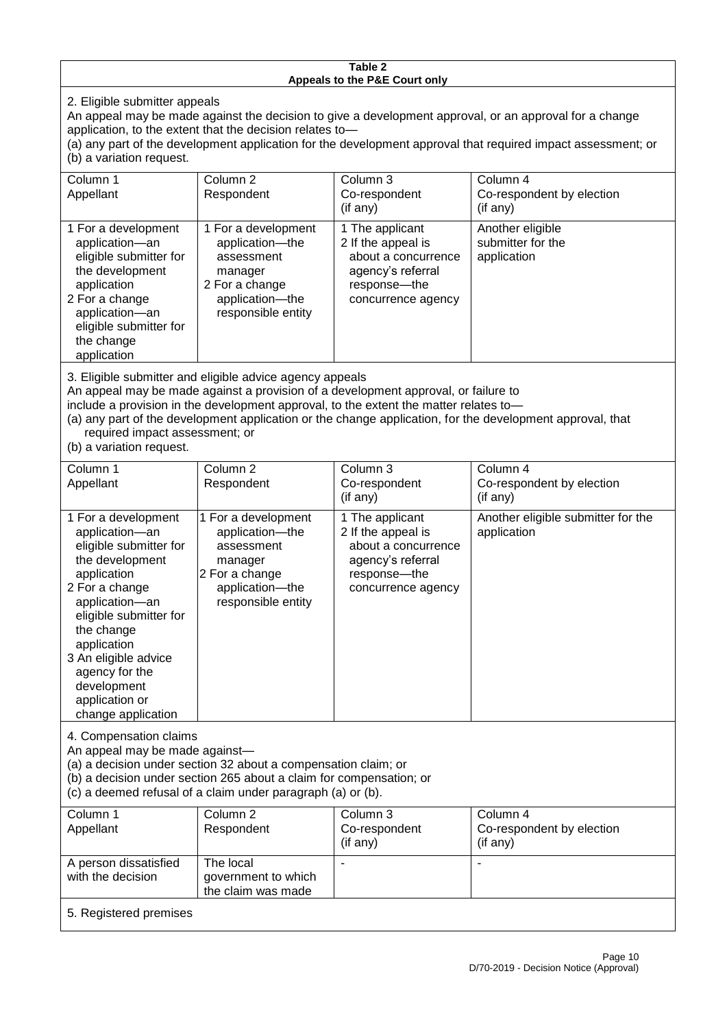#### **Table 2 Appeals to the P&E Court only**

2. Eligible submitter appeals

An appeal may be made against the decision to give a development approval, or an approval for a change application, to the extent that the decision relates to—

(a) any part of the development application for the development approval that required impact assessment; or (b) a variation request.

| Column 1                                                                                                                                                                                                                                                                                                                                                                                                           | Column <sub>2</sub>                                                                                                        | Column 3                                                                                                                  | Column 4                                             |  |
|--------------------------------------------------------------------------------------------------------------------------------------------------------------------------------------------------------------------------------------------------------------------------------------------------------------------------------------------------------------------------------------------------------------------|----------------------------------------------------------------------------------------------------------------------------|---------------------------------------------------------------------------------------------------------------------------|------------------------------------------------------|--|
| Appellant                                                                                                                                                                                                                                                                                                                                                                                                          | Respondent                                                                                                                 | Co-respondent                                                                                                             | Co-respondent by election                            |  |
|                                                                                                                                                                                                                                                                                                                                                                                                                    |                                                                                                                            | (if any)                                                                                                                  | (if any)                                             |  |
| 1 For a development<br>application-an<br>eligible submitter for<br>the development<br>application<br>2 For a change<br>application-an<br>eligible submitter for<br>the change<br>application                                                                                                                                                                                                                       | 1 For a development<br>application-the<br>assessment<br>manager<br>2 For a change<br>application-the<br>responsible entity | 1 The applicant<br>2 If the appeal is<br>about a concurrence<br>agency's referral<br>response---the<br>concurrence agency | Another eligible<br>submitter for the<br>application |  |
| 3. Eligible submitter and eligible advice agency appeals<br>An appeal may be made against a provision of a development approval, or failure to<br>include a provision in the development approval, to the extent the matter relates to-<br>(a) any part of the development application or the change application, for the development approval, that<br>required impact assessment; or<br>(b) a variation request. |                                                                                                                            |                                                                                                                           |                                                      |  |
| Column 1                                                                                                                                                                                                                                                                                                                                                                                                           | Column <sub>2</sub>                                                                                                        | Column 3                                                                                                                  | Column 4                                             |  |
| Appellant                                                                                                                                                                                                                                                                                                                                                                                                          | Respondent                                                                                                                 | Co-respondent                                                                                                             | Co-respondent by election                            |  |

| Appellant                                                                                                                                                                                                                                                                                     | Respondent                                                                                                                 | Co-respondent<br>(if any)                                                                                                 | Co-respondent by election<br>(i f an y)           |
|-----------------------------------------------------------------------------------------------------------------------------------------------------------------------------------------------------------------------------------------------------------------------------------------------|----------------------------------------------------------------------------------------------------------------------------|---------------------------------------------------------------------------------------------------------------------------|---------------------------------------------------|
| 1 For a development<br>application-an<br>eligible submitter for<br>the development<br>application<br>2 For a change<br>application-an<br>eligible submitter for<br>the change<br>application<br>3 An eligible advice<br>agency for the<br>development<br>application or<br>change application | 1 For a development<br>application-the<br>assessment<br>manager<br>2 For a change<br>application-the<br>responsible entity | 1 The applicant<br>2 If the appeal is<br>about a concurrence<br>agency's referral<br>response---the<br>concurrence agency | Another eligible submitter for the<br>application |
|                                                                                                                                                                                                                                                                                               |                                                                                                                            |                                                                                                                           |                                                   |

4. Compensation claims

An appeal may be made against—

(a) a decision under section 32 about a compensation claim; or

(b) a decision under section 265 about a claim for compensation; or

(c) a deemed refusal of a claim under paragraph (a) or (b).

| Column 1               | Column 2            | Column 3      | Column 4                  |
|------------------------|---------------------|---------------|---------------------------|
| Appellant              | Respondent          | Co-respondent | Co-respondent by election |
|                        |                     | (if any)      | (if any)                  |
| A person dissatisfied  | The local           |               |                           |
| with the decision      | government to which |               |                           |
|                        | the claim was made  |               |                           |
| 5. Registered premises |                     |               |                           |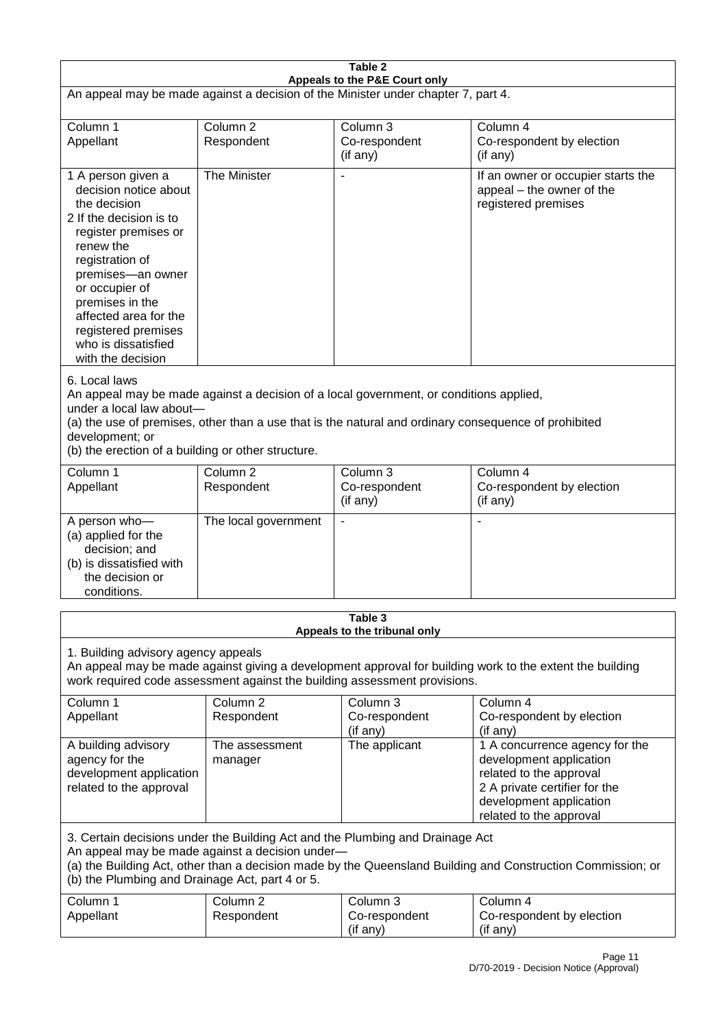| Table 2<br>Appeals to the P&E Court only                                                                                                                                                                                                                                                                             |                                   |                                                  |                                                                                                                                                                             |  |
|----------------------------------------------------------------------------------------------------------------------------------------------------------------------------------------------------------------------------------------------------------------------------------------------------------------------|-----------------------------------|--------------------------------------------------|-----------------------------------------------------------------------------------------------------------------------------------------------------------------------------|--|
| An appeal may be made against a decision of the Minister under chapter 7, part 4.                                                                                                                                                                                                                                    |                                   |                                                  |                                                                                                                                                                             |  |
| Column 1<br>Appellant                                                                                                                                                                                                                                                                                                | Column <sub>2</sub><br>Respondent | Column <sub>3</sub><br>Co-respondent<br>(if any) | Column 4<br>Co-respondent by election<br>(if any)                                                                                                                           |  |
| 1 A person given a<br>decision notice about<br>the decision<br>2 If the decision is to<br>register premises or<br>renew the<br>registration of<br>premises-an owner<br>or occupier of<br>premises in the<br>affected area for the<br>registered premises<br>who is dissatisfied<br>with the decision                 | The Minister                      | $\overline{\phantom{a}}$                         | If an owner or occupier starts the<br>appeal - the owner of the<br>registered premises                                                                                      |  |
| 6. Local laws<br>An appeal may be made against a decision of a local government, or conditions applied,<br>under a local law about-<br>(a) the use of premises, other than a use that is the natural and ordinary consequence of prohibited<br>development; or<br>(b) the erection of a building or other structure. |                                   |                                                  |                                                                                                                                                                             |  |
| Column 1<br>Appellant                                                                                                                                                                                                                                                                                                | Column <sub>2</sub><br>Respondent | Column 3<br>Co-respondent<br>(if any)            | Column 4<br>Co-respondent by election<br>(if any)                                                                                                                           |  |
| A person who-<br>(a) applied for the<br>decision; and<br>(b) is dissatisfied with<br>the decision or<br>conditions.                                                                                                                                                                                                  | The local government              |                                                  |                                                                                                                                                                             |  |
| Table 3<br>Appeals to the tribunal only                                                                                                                                                                                                                                                                              |                                   |                                                  |                                                                                                                                                                             |  |
| 1. Building advisory agency appeals<br>An appeal may be made against giving a development approval for building work to the extent the building<br>work required code assessment against the building assessment provisions.                                                                                         |                                   |                                                  |                                                                                                                                                                             |  |
| Column 1<br>Appellant                                                                                                                                                                                                                                                                                                | Column <sub>2</sub><br>Respondent | Column 3<br>Co-respondent<br>(if any)            | Column 4<br>Co-respondent by election<br>(if any)                                                                                                                           |  |
| A building advisory<br>agency for the<br>development application<br>related to the approval                                                                                                                                                                                                                          | The assessment<br>manager         | The applicant                                    | 1 A concurrence agency for the<br>development application<br>related to the approval<br>2 A private certifier for the<br>development application<br>related to the approval |  |
| 3. Certain decisions under the Building Act and the Plumbing and Drainage Act<br>An appeal may be made against a decision under-<br>(a) the Building Act, other than a decision made by the Queensland Building and Construction Commission; or<br>(b) the Plumbing and Drainage Act, part 4 or 5.                   |                                   |                                                  |                                                                                                                                                                             |  |
| Column 1<br>Appellant                                                                                                                                                                                                                                                                                                | Column <sub>2</sub><br>Respondent | Column 3<br>Co-respondent<br>(if any)            | Column 4<br>Co-respondent by election<br>(if any)                                                                                                                           |  |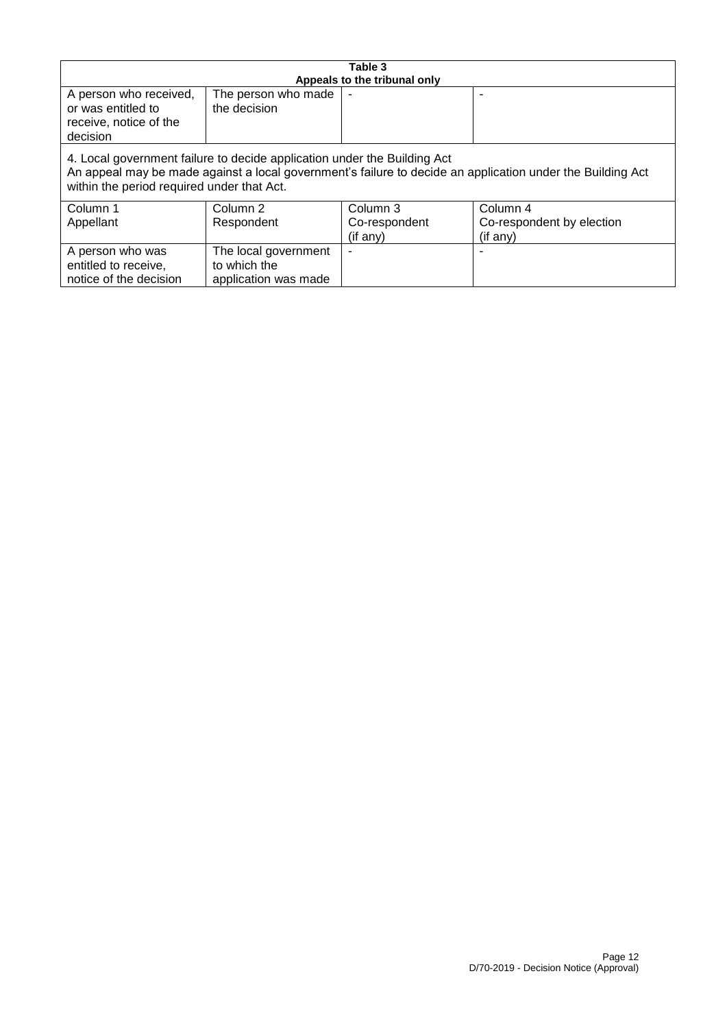| Table 3                                                                                                                                                                                                                              |                      |                              |                           |
|--------------------------------------------------------------------------------------------------------------------------------------------------------------------------------------------------------------------------------------|----------------------|------------------------------|---------------------------|
|                                                                                                                                                                                                                                      |                      | Appeals to the tribunal only |                           |
| A person who received,                                                                                                                                                                                                               | The person who made  |                              |                           |
| or was entitled to                                                                                                                                                                                                                   | the decision         |                              |                           |
| receive, notice of the                                                                                                                                                                                                               |                      |                              |                           |
| decision                                                                                                                                                                                                                             |                      |                              |                           |
| 4. Local government failure to decide application under the Building Act<br>An appeal may be made against a local government's failure to decide an application under the Building Act<br>within the period required under that Act. |                      |                              |                           |
| Column 1                                                                                                                                                                                                                             | Column 2             | Column 3                     | Column 4                  |
| Appellant                                                                                                                                                                                                                            | Respondent           | Co-respondent                | Co-respondent by election |
|                                                                                                                                                                                                                                      |                      | (if any)                     | (if any)                  |
| A person who was                                                                                                                                                                                                                     | The local government |                              |                           |
| entitled to receive,                                                                                                                                                                                                                 | to which the         |                              |                           |
| notice of the decision                                                                                                                                                                                                               | application was made |                              |                           |